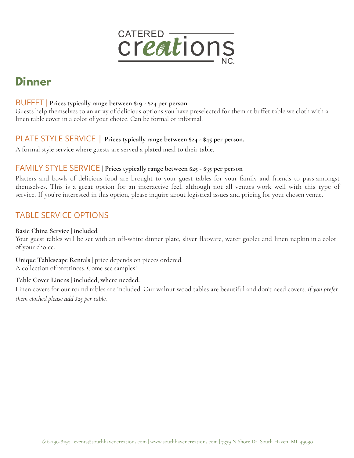

# **Dinner**

#### BUFFET | **Prices typically range between \$19 - \$24 per person**

Guests help themselves to an array of delicious options you have preselected for them at buffet table we cloth with a linen table cover in a color of your choice. Can be formal or informal.

#### PLATE STYLE SERVICE | **Prices typically range between \$24 - \$45 per person.**

A formal style service where guests are served a plated meal to their table.

#### FAMILY STYLE SERVICE **| Prices typically range between \$25 - \$35 per person**

Platters and bowls of delicious food are brought to your guest tables for your family and friends to pass amongst themselves. This is a great option for an interactive feel, although not all venues work well with this type of service. If you're interested in this option, please inquire about logistical issues and pricing for your chosen venue.

## TABLE SERVICE OPTIONS

#### **Basic China Service | included**

Your guest tables will be set with an off-white dinner plate, sliver flatware, water goblet and linen napkin in a color of your choice.

**Unique Tablescape Rentals** | price depends on pieces ordered. A collection of prettiness. Come see samples!

#### **Table Cover Linens | included, where needed.**

Linen covers for our round tables are included. Our walnut wood tables are beautiful and don't need covers. *If you prefer them clothed please add \$25 per table.*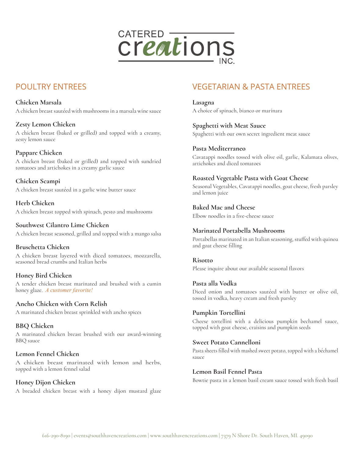

## POULTRY ENTREES

**Chicken Marsala** A chicken breast sautéed with mushrooms in a marsala wine sauce

**Zesty Lemon Chicken** A chicken breast (baked or grilled) and topped with a creamy, zesty lemon sauce

#### **Pappare Chicken**

A chicken breast (baked or grilled) and topped with sundried tomatoes and artichokes in a creamy garlic sauce

**Chicken Scampi** A chicken breast sautéed in a garlic wine butter sauce

**Herb Chicken** A chicken breast topped with spinach, pesto and mushrooms

**Southwest Cilantro Lime Chicken** A chicken breast seasoned, grilled and topped with a mango salsa

**Bruschetta Chicken** A chicken breast layered with diced tomatoes, mozzarella, seasoned bread crumbs and Italian herbs

#### **Honey Bird Chicken**

A tender chicken breast marinated and brushed with a cumin honey glaze. *A customer favorite!* 

**Ancho Chicken with Corn Relish**

A marinated chicken breast sprinkled with ancho spices

**BBQ Chicken** A marinated chicken breast brushed with our award-winning BBQ sauce

#### **Lemon Fennel Chicken**

A chicken breast marinated with lemon and herbs, topped with a lemon fennel salad

**Honey Dijon Chicken** A breaded chicken breast with a honey dijon mustard glaze

## VEGETARIAN & PASTA ENTREES

**Lasagna** A choice of spinach, bianco or marinara

**Spaghetti with Meat Sauce** Spaghetti with our own secret ingredient meat sauce

**Pasta Mediterraneo** Cavatappi noodles tossed with olive oil, garlic, Kalamata olives, artichokes and diced tomatoes

**Roasted Vegetable Pasta with Goat Cheese**

Seasonal Vegetables, Cavatappi noodles, goat cheese, fresh parsley and lemon juice

**Baked Mac and Cheese** Elbow noodles in a five-cheese sauce

#### **Marinated Portabella Mushrooms**

Portabellas marinated in an Italian seasoning, stuffed with quinoa and goat cheese filling

**Risotto** Please inquire about our available seasonal flavors

#### **Pasta alla Vodka**

Diced onion and tomatoes sautéed with butter or olive oil, tossed in vodka, heavy cream and fresh parsley

#### **Pumpkin Tortellini**

Cheese tortellini with a delicious pumpkin bechamel sauce, topped with goat cheese, craisins and pumpkin seeds

#### **Sweet Potato Cannelloni**

Pasta sheets filled with mashed sweet potato, topped with a béchamel sauce

**Lemon Basil Fennel Pasta**

Bowtie pasta in a lemon basil cream sauce tossed with fresh basil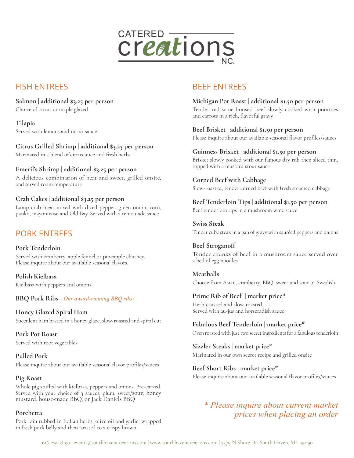

## FISH ENTREES

**Salmon | additional \$3.25 per person** Choice of citrus or maple glazed

**Tilapia** Served with lemons and tartar sauce

#### **Citrus Grilled Shrimp | additional \$3.25 per person**

Marinated in a blend of citrus juice and fresh herbs

#### **Emeril's Shrimp | additional \$3.25 per person**

A delicious combination of heat and sweet, grilled onsite, and served room temperature

#### **Crab Cakes | additional \$3.25 per person**

Lump crab meat mixed with diced pepper, green onion, corn, panko, mayonnaise and Old Bay. Served with a remoulade sauce

## PORK ENTREES

#### **Pork Tenderloin**

Served with cranberry, apple fennel or pineapple chutney. Please inquire about our available seasonal flavors.

**Polish Kielbasa** Kielbasa with peppers and onions

**BBQ Pork Ribs -** *Our award-winning BBQ ribs!*

**Honey Glazed Spiral Ham** Succulent ham basted in a honey glaze, slow-roasted and spiral cut

**Pork Pot Roast** Served with root vegetables

**Pulled Pork** Please inquire about our available seasonal flavor profiles/sauces

#### **Pig Roast**

Whole pig stuffed with kielbasa, peppers and onions. Pre-carved. Served with your choice of 3 sauces: plum, sweet/sour, honey mustard, house-made BBQ, or Jack Daniels BBQ

#### **Porchetta**

Pork loin rubbed in Italian herbs, olive oil and garlic, wrapped in fresh pork belly and then roasted to a crispy brown

## BEEF ENTREES

#### **Michigan Pot Roast | additional \$1.50 per person**

Tender red wine-braised beef slowly cooked with potatoes and carrots in a rich, flavorful gravy

**Beef Brisket | additional \$1.50 per person** Please inquire about our available seasonal flavor profiles/sauces

#### **Guinness Brisket | additional \$1.50 per person**

Brisket slowly cooked with our famous dry rub then sliced thin, topped with a mustard stout sauce

#### **Corned Beef with Cabbage**

Slow-roasted, tender corned beef with fresh steamed cabbage

**Beef Tenderloin Tips | additional \$1.50 per person** Beef tenderloin tips in a mushroom wine sauce

**Swiss Steak** Tender cube steak in a pan of gravy with sautéed peppers and onions

**Beef Stroganoff** Tender chunks of beef in a mushroom sauce served over a bed of egg noodles

**Meatballs** Choose from Asian, cranberry, BBQ, sweet and sour or Swedish

**Prime Rib of Beef | market price\*** Herb-crusted and slow-roasted. Served with au-jus and horseradish sauce

**Fabulous Beef Tenderloin | market price\*** Oven roasted with just two secret ingredients for a fabulous tenderloin

**Sizzler Steaks | market price\*** Marinated in our own secret recipe and grilled onsite

**Beef Short Ribs | market price\*** Please inquire about our available seasonal flavor profiles/sauces

*\* Please inquire about current market prices when placing an order*